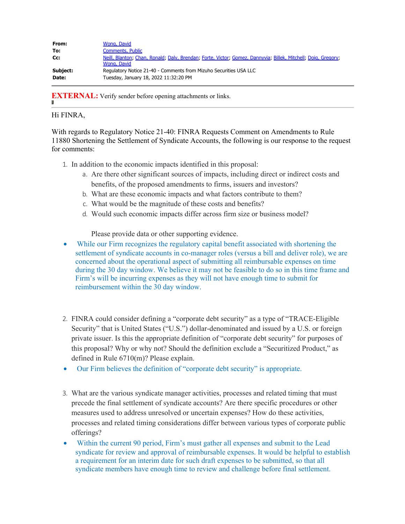| From:    | Wong, David                                                                                                                  |
|----------|------------------------------------------------------------------------------------------------------------------------------|
| To:      | <b>Comments, Public</b>                                                                                                      |
| Cc:      | Neill, Blanton; Chan, Ronald; Daly, Brendan; Forte, Victor; Gomez, Dannyvia; Billek, Mitchell; Doig, Gregory;<br>Wong, David |
| Subject: | Regulatory Notice 21-40 - Comments from Mizuho Securities USA LLC                                                            |
| Date:    | Tuesday, January 18, 2022 11:32:20 PM                                                                                        |

**EXTERNAL:** Verify sender before opening attachments or links.

## Hi FINRA,

With regards to Regulatory Notice 21-40: FINRA Requests Comment on Amendments to Rule 11880 Shortening the Settlement of Syndicate Accounts, the following is our response to the request for comments:

- 1. In addition to the economic impacts identified in this proposal:
	- a. Are there other significant sources of impacts, including direct or indirect costs and benefits, of the proposed amendments to firms, issuers and investors?
	- b. What are these economic impacts and what factors contribute to them?
	- c. What would be the magnitude of these costs and benefits?
	- d. Would such economic impacts differ across firm size or business model?

Please provide data or other supporting evidence.

- While our Firm recognizes the regulatory capital benefit associated with shortening the settlement of syndicate accounts in co-manager roles (versus a bill and deliver role), we are concerned about the operational aspect of submitting all reimbursable expenses on time during the 30 day window. We believe it may not be feasible to do so in this time frame and Firm's will be incurring expenses as they will not have enough time to submit for reimbursement within the 30 day window.
- 2. FINRA could consider defining a "corporate debt security" as a type of "TRACE-Eligible Security" that is United States ("U.S.") dollar-denominated and issued by a U.S. or foreign private issuer. Is this the appropriate definition of "corporate debt security" for purposes of this proposal? Why or why not? Should the definition exclude a "Securitized Product," as defined in Rule 6710(m)? Please explain.
- Our Firm believes the definition of "corporate debt security" is appropriate.
- 3. What are the various syndicate manager activities, processes and related timing that must precede the final settlement of syndicate accounts? Are there specific procedures or other measures used to address unresolved or uncertain expenses? How do these activities, processes and related timing considerations differ between various types of corporate public offerings?
- Within the current 90 period, Firm's must gather all expenses and submit to the Lead syndicate for review and approval of reimbursable expenses. It would be helpful to establish a requirement for an interim date for such draft expenses to be submitted, so that all syndicate members have enough time to review and challenge before final settlement.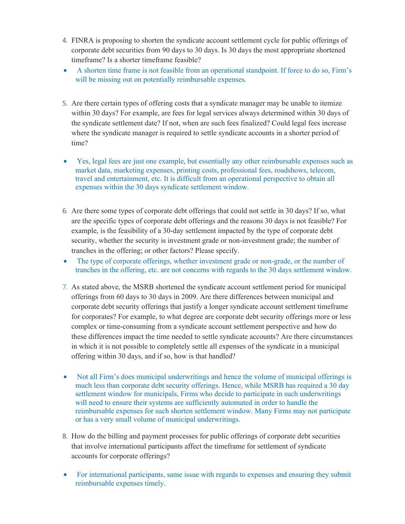- 4. FINRA is proposing to shorten the syndicate account settlement cycle for public offerings of corporate debt securities from 90 days to 30 days. Is 30 days the most appropriate shortened timeframe? Is a shorter timeframe feasible?
- · A shorten time frame is not feasible from an operational standpoint. If force to do so, Firm's will be missing out on potentially reimbursable expenses.
- 5. Are there certain types of offering costs that a syndicate manager may be unable to itemize within 30 days? For example, are fees for legal services always determined within 30 days of the syndicate settlement date? If not, when are such fees finalized? Could legal fees increase where the syndicate manager is required to settle syndicate accounts in a shorter period of time?
- · Yes, legal fees are just one example, but essentially any other reimbursable expenses such as market data, marketing expenses, printing costs, professional fees, roadshows, telecom, travel and entertainment, etc. It is difficult from an operational perspective to obtain all expenses within the 30 days syndicate settlement window.
- 6. Are there some types of corporate debt offerings that could not settle in 30 days? If so, what are the specific types of corporate debt offerings and the reasons 30 days is not feasible? For example, is the feasibility of a 30-day settlement impacted by the type of corporate debt security, whether the security is investment grade or non-investment grade; the number of tranches in the offering; or other factors? Please specify.
- The type of corporate offerings, whether investment grade or non-grade, or the number of tranches in the offering, etc. are not concerns with regards to the 30 days settlement window.
- 7. As stated above, the MSRB shortened the syndicate account settlement period for municipal offerings from 60 days to 30 days in 2009. Are there differences between municipal and corporate debt security offerings that justify a longer syndicate account settlement timeframe for corporates? For example, to what degree are corporate debt security offerings more or less complex or time-consuming from a syndicate account settlement perspective and how do these differences impact the time needed to settle syndicate accounts? Are there circumstances in which it is not possible to completely settle all expenses of the syndicate in a municipal offering within 30 days, and if so, how is that handled?
- Not all Firm's does municipal underwritings and hence the volume of municipal offerings is much less than corporate debt security offerings. Hence, while MSRB has required a 30 day settlement window for municipals, Firms who decide to participate in such underwritings will need to ensure their systems are sufficiently automated in order to handle the reimbursable expenses for such shorten settlement window. Many Firms may not participate or has a very small volume of municipal underwritings.
- 8. How do the billing and payment processes for public offerings of corporate debt securities that involve international participants affect the timeframe for settlement of syndicate accounts for corporate offerings?
- For international participants, same issue with regards to expenses and ensuring they submit reimbursable expenses timely.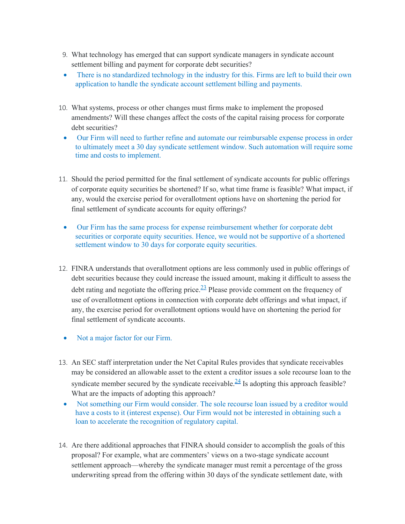- 9. What technology has emerged that can support syndicate managers in syndicate account settlement billing and payment for corporate debt securities?
- There is no standardized technology in the industry for this. Firms are left to build their own application to handle the syndicate account settlement billing and payments.
- 10. What systems, process or other changes must firms make to implement the proposed amendments? Will these changes affect the costs of the capital raising process for corporate debt securities?
	- · Our Firm will need to further refine and automate our reimbursable expense process in order to ultimately meet a 30 day syndicate settlement window. Such automation will require some time and costs to implement.
- 11. Should the period permitted for the final settlement of syndicate accounts for public offerings of corporate equity securities be shortened? If so, what time frame is feasible? What impact, if any, would the exercise period for overallotment options have on shortening the period for final settlement of syndicate accounts for equity offerings?
	- · Our Firm has the same process for expense reimbursement whether for corporate debt securities or corporate equity securities. Hence, we would not be supportive of a shortened settlement window to 30 days for corporate equity securities.
- 12. FINRA understands that overallotment options are less commonly used in public offerings of debt securities because they could increase the issued amount, making it difficult to assess the debt rating and negotiate the offering price.  $\frac{23}{2}$  Please provide comment on the frequency of use of overallotment options in connection with corporate debt offerings and what impact, if any, the exercise period for overallotment options would have on shortening the period for final settlement of syndicate accounts.
	- Not a major factor for our Firm.
- 13. An SEC staff interpretation under the Net Capital Rules provides that syndicate receivables may be considered an allowable asset to the extent a creditor issues a sole recourse loan to the syndicate member secured by the syndicate receivable.<sup>24</sup> Is adopting this approach feasible? What are the impacts of adopting this approach?
	- · Not something our Firm would consider. The sole recourse loan issued by a creditor would have a costs to it (interest expense). Our Firm would not be interested in obtaining such a loan to accelerate the recognition of regulatory capital.
- 14. Are there additional approaches that FINRA should consider to accomplish the goals of this proposal? For example, what are commenters' views on a two-stage syndicate account settlement approach—whereby the syndicate manager must remit a percentage of the gross underwriting spread from the offering within 30 days of the syndicate settlement date, with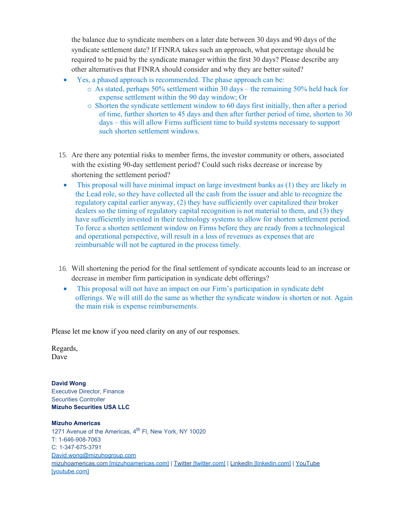the balance due to syndicate members on a later date between 30 days and 90 days of the syndicate settlement date? If FINRA takes such an approach, what percentage should be required to be paid by the syndicate manager within the first 30 days? Please describe any other alternatives that FINRA should consider and why they are better suited?

- Yes, a phased approach is recommended. The phase approach can be:
	- $\circ$  As stated, perhaps 50% settlement within 30 days the remaining 50% held back for expense settlement within the 90 day window; Or
	- o Shorten the syndicate settlement window to 60 days first initially, then after a period of time, further shorten to 45 days and then after further period of time, shorten to 30 days – this will allow Firms sufficient time to build systems necessary to support such shorten settlement windows.
- 15. Are there any potential risks to member firms, the investor community or others, associated with the existing 90-day settlement period? Could such risks decrease or increase by shortening the settlement period?
	- · This proposal will have minimal impact on large investment banks as (1) they are likely in the Lead role, so they have collected all the cash from the issuer and able to recognize the regulatory capital earlier anyway, (2) they have sufficiently over capitalized their broker dealers so the timing of regulatory capital recognition is not material to them, and (3) they have sufficiently invested in their technology systems to allow for shorten settlement period. To force a shorten settlement window on Firms before they are ready from a technological and operational perspective, will result in a loss of revenues as expenses that are reimbursable will not be captured in the process timely.
- 16. Will shortening the period for the final settlement of syndicate accounts lead to an increase or decrease in member firm participation in syndicate debt offerings?
	- This proposal will not have an impact on our Firm's participation in syndicate debt offerings. We will still do the same as whether the syndicate window is shorten or not. Again the main risk is expense reimbursements.

Please let me know if you need clarity on any of our responses.

Regards, Dave

**David Wong** Executive Director, Finance Securities Controller **Mizuho Securities USA LLC**

## **Mizuho Americas**

1271 Avenue of the Americas, 4<sup>th</sup> FI, New York, NY 10020 T: 1-646-908-7063 C: 1-347-675-3791 [David.wong@mizuhogroup.com](mailto:David.wong@mizuhogroup.com) [mizuhoamericas.com \[mizuhoamericas.com\]](https://urldefense.com/v3/__http://www.mizuhoamericas.com/__;!!MQQ7itY!doX1zVrmlhZV7wjkpxkJFuMlDuIqtmSHsMe83ZrlpUcdHJ7L7CiNeWf6a3XDkw$) | [Twitter \[twitter.com\]](https://urldefense.com/v3/__https://twitter.com/mizuhoamericas__;!!MQQ7itY!doX1zVrmlhZV7wjkpxkJFuMlDuIqtmSHsMe83ZrlpUcdHJ7L7CiNeWcvmL9v4g$) | [LinkedIn \[linkedin.com\]](https://urldefense.com/v3/__https://www.linkedin.com/company/mizuho-americas__;!!MQQ7itY!doX1zVrmlhZV7wjkpxkJFuMlDuIqtmSHsMe83ZrlpUcdHJ7L7CiNeWf8WYSYRA$) | [YouTube](https://urldefense.com/v3/__https://www.youtube.com/c/MizuhoAmericas__;!!MQQ7itY!doX1zVrmlhZV7wjkpxkJFuMlDuIqtmSHsMe83ZrlpUcdHJ7L7CiNeWdO6Dn8aw$) [\[youtube.com\]](https://urldefense.com/v3/__https://www.youtube.com/c/MizuhoAmericas__;!!MQQ7itY!doX1zVrmlhZV7wjkpxkJFuMlDuIqtmSHsMe83ZrlpUcdHJ7L7CiNeWdO6Dn8aw$)